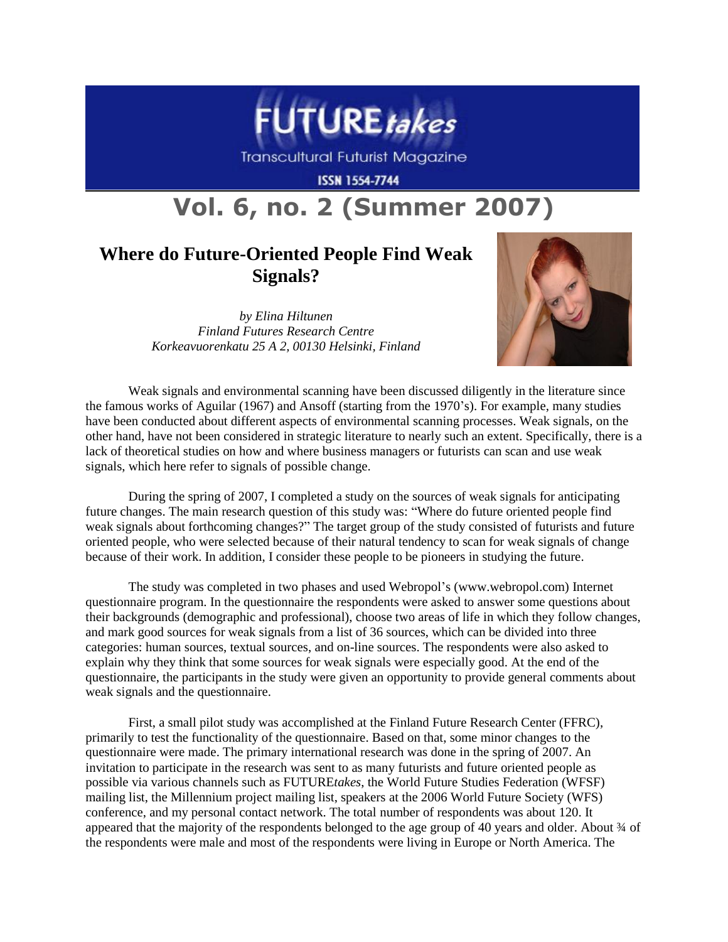

**Transcultural Futurist Magazine** 

**ISSN 1554-7744** 

## **Vol. 6, no. 2 (Summer 2007)**

## **Where do Future-Oriented People Find Weak Signals?**

*by Elina Hiltunen Finland Futures Research Centre Korkeavuorenkatu 25 A 2, 00130 Helsinki, Finland*



Weak signals and environmental scanning have been discussed diligently in the literature since the famous works of Aguilar (1967) and Ansoff (starting from the 1970's). For example, many studies have been conducted about different aspects of environmental scanning processes. Weak signals, on the other hand, have not been considered in strategic literature to nearly such an extent. Specifically, there is a lack of theoretical studies on how and where business managers or futurists can scan and use weak signals, which here refer to signals of possible change.

During the spring of 2007, I completed a study on the sources of weak signals for anticipating future changes. The main research question of this study was: "Where do future oriented people find weak signals about forthcoming changes?" The target group of the study consisted of futurists and future oriented people, who were selected because of their natural tendency to scan for weak signals of change because of their work. In addition, I consider these people to be pioneers in studying the future.

The study was completed in two phases and used Webropol's (www.webropol.com) Internet questionnaire program. In the questionnaire the respondents were asked to answer some questions about their backgrounds (demographic and professional), choose two areas of life in which they follow changes, and mark good sources for weak signals from a list of 36 sources, which can be divided into three categories: human sources, textual sources, and on-line sources. The respondents were also asked to explain why they think that some sources for weak signals were especially good. At the end of the questionnaire, the participants in the study were given an opportunity to provide general comments about weak signals and the questionnaire.

First, a small pilot study was accomplished at the Finland Future Research Center (FFRC), primarily to test the functionality of the questionnaire. Based on that, some minor changes to the questionnaire were made. The primary international research was done in the spring of 2007. An invitation to participate in the research was sent to as many futurists and future oriented people as possible via various channels such as FUTURE*takes*, the World Future Studies Federation (WFSF) mailing list, the Millennium project mailing list, speakers at the 2006 World Future Society (WFS) conference, and my personal contact network. The total number of respondents was about 120. It appeared that the majority of the respondents belonged to the age group of 40 years and older. About 34 of the respondents were male and most of the respondents were living in Europe or North America. The